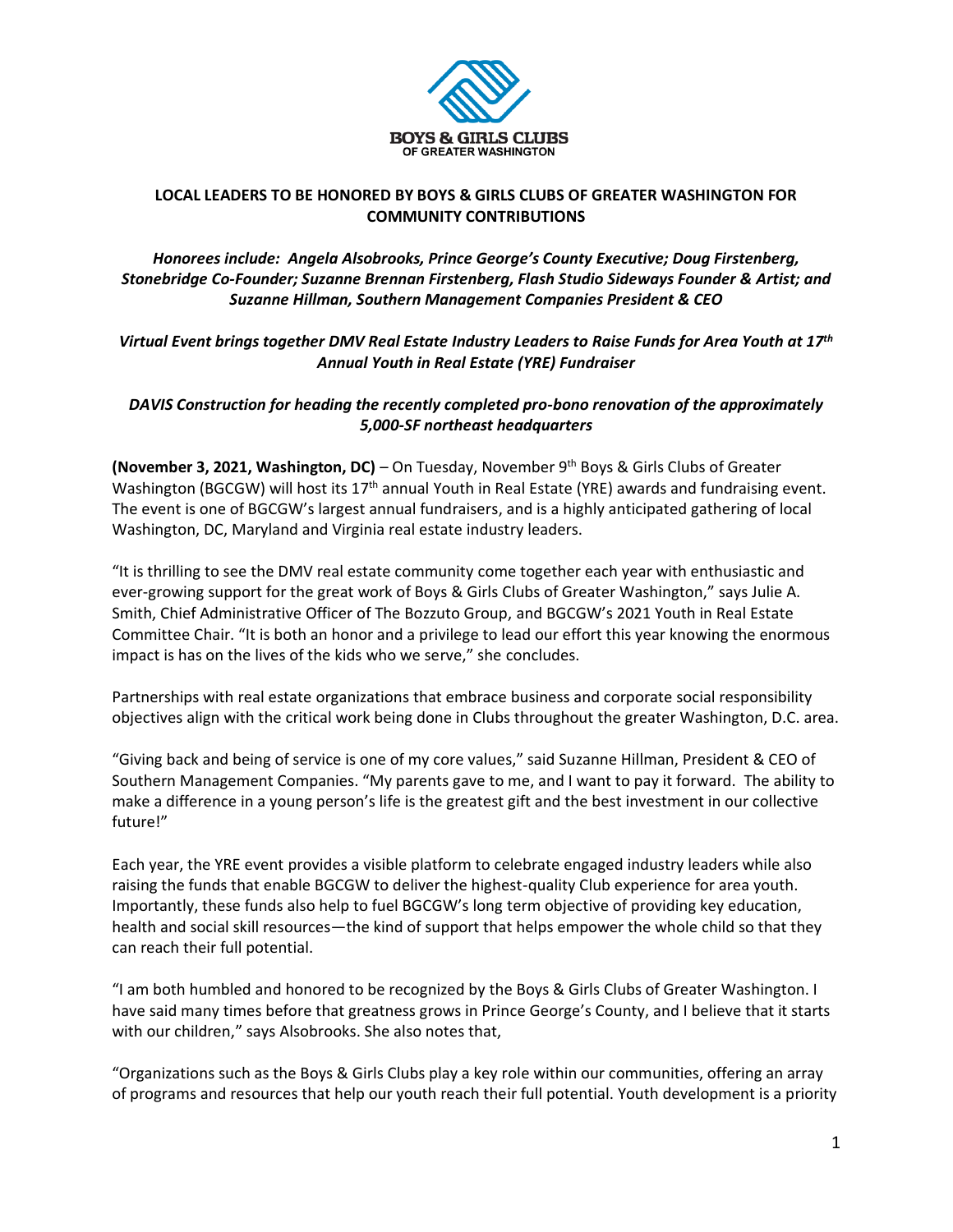

# **LOCAL LEADERS TO BE HONORED BY BOYS & GIRLS CLUBS OF GREATER WASHINGTON FOR COMMUNITY CONTRIBUTIONS**

*Honorees include: Angela Alsobrooks, Prince George's County Executive; Doug Firstenberg, Stonebridge Co-Founder; Suzanne Brennan Firstenberg, Flash Studio Sideways Founder & Artist; and Suzanne Hillman, Southern Management Companies President & CEO*

*Virtual Event brings together DMV Real Estate Industry Leaders to Raise Funds for Area Youth at 17th Annual Youth in Real Estate (YRE) Fundraiser*

*DAVIS Construction for heading the recently completed pro-bono renovation of the approximately 5,000-SF northeast headquarters*

**(November 3, 2021, Washington, DC)** – On Tuesday, November 9 th Boys & Girls Clubs of Greater Washington (BGCGW) will host its 17<sup>th</sup> annual Youth in Real Estate (YRE) awards and fundraising event. The event is one of BGCGW's largest annual fundraisers, and is a highly anticipated gathering of local Washington, DC, Maryland and Virginia real estate industry leaders.

"It is thrilling to see the DMV real estate community come together each year with enthusiastic and ever-growing support for the great work of Boys & Girls Clubs of Greater Washington," says Julie A. Smith, Chief Administrative Officer of The Bozzuto Group, and BGCGW's 2021 Youth in Real Estate Committee Chair. "It is both an honor and a privilege to lead our effort this year knowing the enormous impact is has on the lives of the kids who we serve," she concludes.

Partnerships with real estate organizations that embrace business and corporate social responsibility objectives align with the critical work being done in Clubs throughout the greater Washington, D.C. area.

"Giving back and being of service is one of my core values," said Suzanne Hillman, President & CEO of Southern Management Companies. "My parents gave to me, and I want to pay it forward. The ability to make a difference in a young person's life is the greatest gift and the best investment in our collective future!"

Each year, the YRE event provides a visible platform to celebrate engaged industry leaders while also raising the funds that enable BGCGW to deliver the highest-quality Club experience for area youth. Importantly, these funds also help to fuel BGCGW's long term objective of providing key education, health and social skill resources—the kind of support that helps empower the whole child so that they can reach their full potential.

"I am both humbled and honored to be recognized by the Boys & Girls Clubs of Greater Washington. I have said many times before that greatness grows in Prince George's County, and I believe that it starts with our children," says Alsobrooks. She also notes that,

"Organizations such as the Boys & Girls Clubs play a key role within our communities, offering an array of programs and resources that help our youth reach their full potential. Youth development is a priority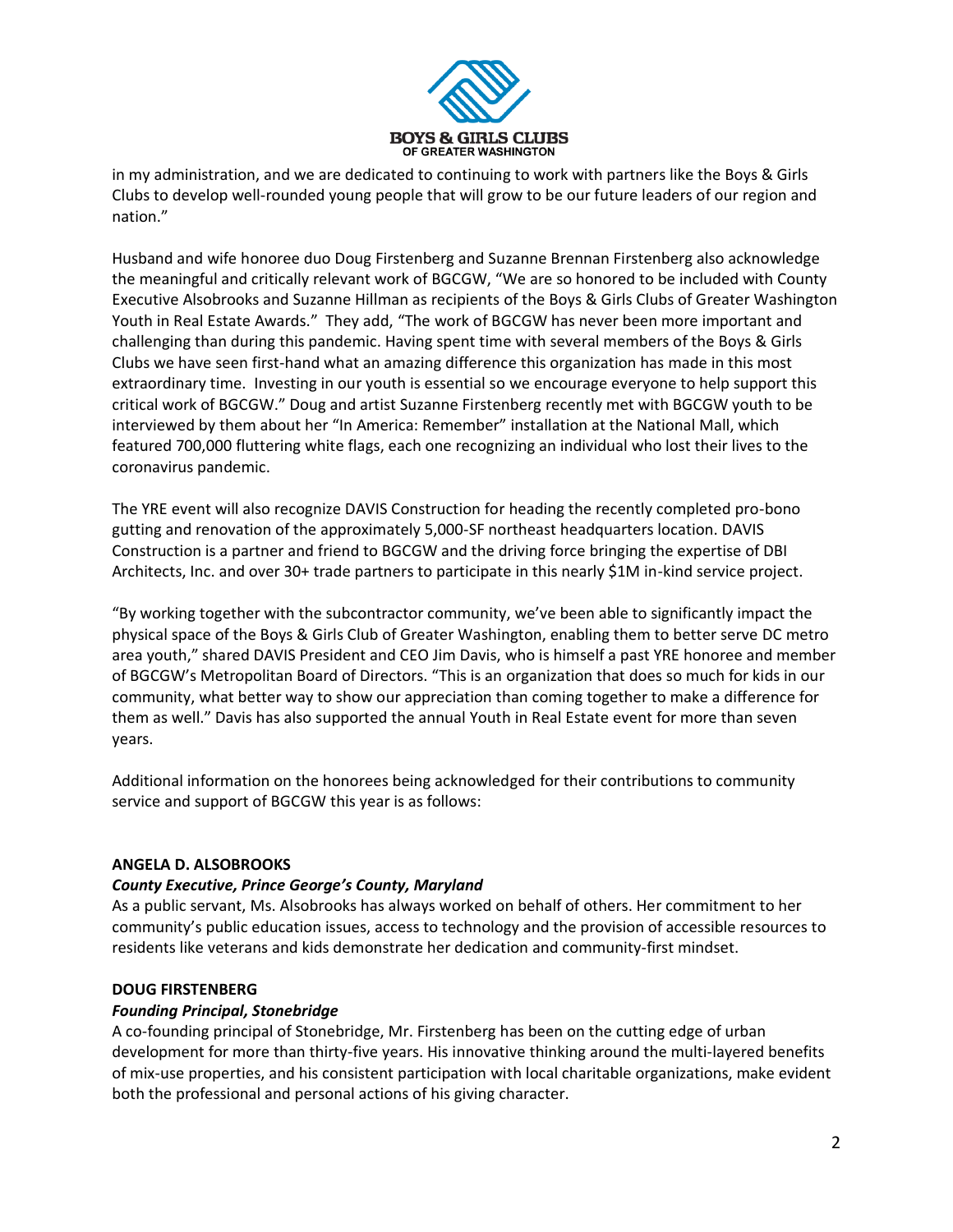

in my administration, and we are dedicated to continuing to work with partners like the Boys & Girls Clubs to develop well-rounded young people that will grow to be our future leaders of our region and nation."

Husband and wife honoree duo Doug Firstenberg and Suzanne Brennan Firstenberg also acknowledge the meaningful and critically relevant work of BGCGW, "We are so honored to be included with County Executive Alsobrooks and Suzanne Hillman as recipients of the Boys & Girls Clubs of Greater Washington Youth in Real Estate Awards." They add, "The work of BGCGW has never been more important and challenging than during this pandemic. Having spent time with several members of the Boys & Girls Clubs we have seen first-hand what an amazing difference this organization has made in this most extraordinary time. Investing in our youth is essential so we encourage everyone to help support this critical work of BGCGW." Doug and artist Suzanne Firstenberg recently met with BGCGW youth to be interviewed by them about her "In America: Remember" installation at the National Mall, which featured 700,000 fluttering white flags, each one recognizing an individual who lost their lives to the coronavirus pandemic.

The YRE event will also recognize DAVIS Construction for heading the recently completed pro-bono gutting and renovation of the approximately 5,000-SF northeast headquarters location. DAVIS Construction is a partner and friend to BGCGW and the driving force bringing the expertise of DBI Architects, Inc. and over 30+ trade partners to participate in this nearly \$1M in-kind service project.

"By working together with the subcontractor community, we've been able to significantly impact the physical space of the Boys & Girls Club of Greater Washington, enabling them to better serve DC metro area youth," shared DAVIS President and CEO Jim Davis, who is himself a past YRE honoree and member of BGCGW's Metropolitan Board of Directors. "This is an organization that does so much for kids in our community, what better way to show our appreciation than coming together to make a difference for them as well." Davis has also supported the annual Youth in Real Estate event for more than seven years.

Additional information on the honorees being acknowledged for their contributions to community service and support of BGCGW this year is as follows:

## **ANGELA D. ALSOBROOKS**

## *County Executive, Prince George's County, Maryland*

As a public servant, Ms. Alsobrooks has always worked on behalf of others. Her commitment to her community's public education issues, access to technology and the provision of accessible resources to residents like veterans and kids demonstrate her dedication and community-first mindset.

#### **DOUG FIRSTENBERG**

#### *Founding Principal, Stonebridge*

A co-founding principal of Stonebridge, Mr. Firstenberg has been on the cutting edge of urban development for more than thirty-five years. His innovative thinking around the multi-layered benefits of mix-use properties, and his consistent participation with local charitable organizations, make evident both the professional and personal actions of his giving character.